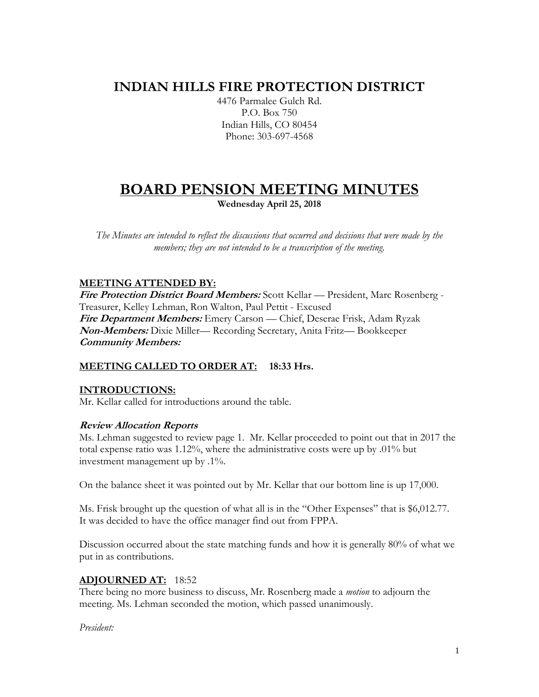# **INDIAN HILLS FIRE PROTECTION DISTRICT**

4476 Parmalee Gulch Rd. P.O. Box 750 Indian Hills, CO 80454 Phone: 303-697-4568

### **BOARD PENSION MEETING MINUTES Wednesday April 25, 2018**

*The Minutes are intended to reflect the discussions that occurred and decisions that were made by the members; they are not intended to be a transcription of the meeting.*

#### **MEETING ATTENDED BY:**

**Fire Protection District Board Members:** Scott Kellar — President, Marc Rosenberg - Treasurer, Kelley Lehman, Ron Walton, Paul Pettit - Excused **Fire Department Members:** Emery Carson — Chief, Deserae Frisk, Adam Ryzak **Non-Members:** Dixie Miller— Recording Secretary, Anita Fritz— Bookkeeper **Community Members:** 

#### **MEETING CALLED TO ORDER AT: 18:33 Hrs.**

#### **INTRODUCTIONS:**

Mr. Kellar called for introductions around the table.

#### **Review Allocation Reports**

Ms. Lehman suggested to review page 1. Mr. Kellar proceeded to point out that in 2017 the total expense ratio was 1.12%, where the administrative costs were up by .01% but investment management up by .1%.

On the balance sheet it was pointed out by Mr. Kellar that our bottom line is up 17,000.

Ms. Frisk brought up the question of what all is in the "Other Expenses" that is \$6,012.77. It was decided to have the office manager find out from FPPA.

Discussion occurred about the state matching funds and how it is generally 80% of what we put in as contributions.

#### **ADJOURNED AT:** 18:52

There being no more business to discuss, Mr. Rosenberg made a *motion* to adjourn the meeting. Ms. Lehman seconded the motion, which passed unanimously.

*President:*